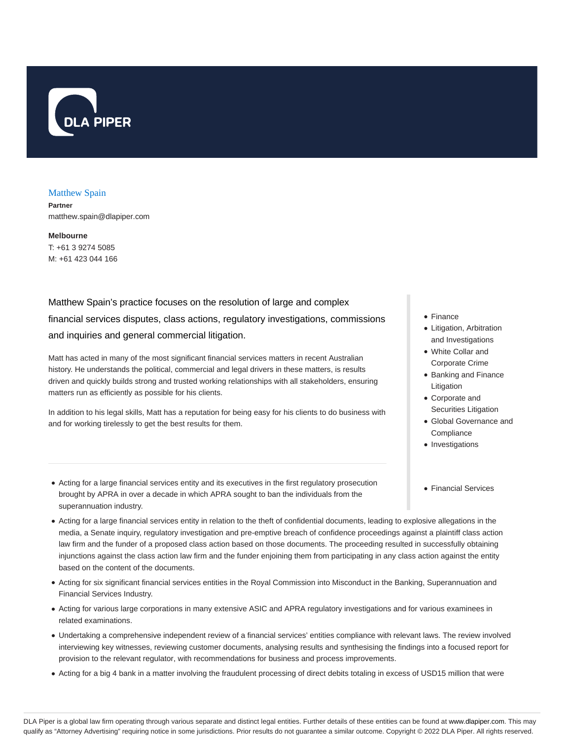

#### Matthew Spain

**Partner** matthew.spain@dlapiper.com

**Melbourne** T: +61 3 9274 5085 M: +61 423 044 166

Matthew Spain's practice focuses on the resolution of large and complex financial services disputes, class actions, regulatory investigations, commissions and inquiries and general commercial litigation.

Matt has acted in many of the most significant financial services matters in recent Australian history. He understands the political, commercial and legal drivers in these matters, is results driven and quickly builds strong and trusted working relationships with all stakeholders, ensuring matters run as efficiently as possible for his clients.

In addition to his legal skills, Matt has a reputation for being easy for his clients to do business with and for working tirelessly to get the best results for them.

- Finance
- Litigation, Arbitration and Investigations
- White Collar and Corporate Crime
- Banking and Finance Litigation
- Corporate and Securities Litigation
- Global Governance and **Compliance**
- Investigations
- Financial Services
- Acting for a large financial services entity and its executives in the first regulatory prosecution brought by APRA in over a decade in which APRA sought to ban the individuals from the superannuation industry.
- Acting for a large financial services entity in relation to the theft of confidential documents, leading to explosive allegations in the media, a Senate inquiry, regulatory investigation and pre-emptive breach of confidence proceedings against a plaintiff class action law firm and the funder of a proposed class action based on those documents. The proceeding resulted in successfully obtaining injunctions against the class action law firm and the funder enjoining them from participating in any class action against the entity based on the content of the documents.
- Acting for six significant financial services entities in the Royal Commission into Misconduct in the Banking, Superannuation and Financial Services Industry.
- Acting for various large corporations in many extensive ASIC and APRA regulatory investigations and for various examinees in related examinations.
- Undertaking a comprehensive independent review of a financial services' entities compliance with relevant laws. The review involved interviewing key witnesses, reviewing customer documents, analysing results and synthesising the findings into a focused report for provision to the relevant regulator, with recommendations for business and process improvements.
- Acting for a big 4 bank in a matter involving the fraudulent processing of direct debits totaling in excess of USD15 million that were